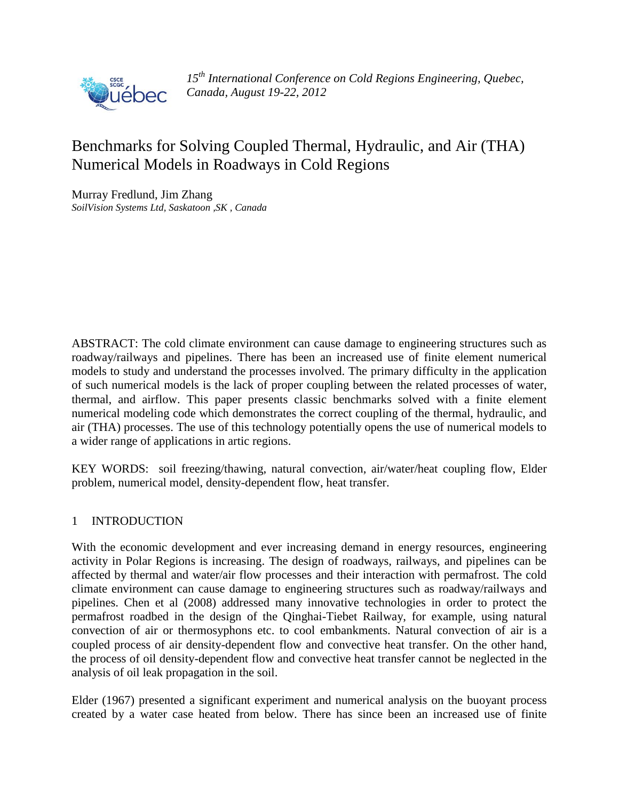

*15th International Conference on Cold Regions Engineering, Quebec, Canada, August 19-22, 2012*

# Benchmarks for Solving Coupled Thermal, Hydraulic, and Air (THA) Numerical Models in Roadways in Cold Regions

Murray Fredlund, Jim Zhang *SoilVision Systems Ltd, Saskatoon ,SK , Canada*

ABSTRACT: The cold climate environment can cause damage to engineering structures such as roadway/railways and pipelines. There has been an increased use of finite element numerical models to study and understand the processes involved. The primary difficulty in the application of such numerical models is the lack of proper coupling between the related processes of water, thermal, and airflow. This paper presents classic benchmarks solved with a finite element numerical modeling code which demonstrates the correct coupling of the thermal, hydraulic, and air (THA) processes. The use of this technology potentially opens the use of numerical models to a wider range of applications in artic regions.

KEY WORDS: soil freezing/thawing, natural convection, air/water/heat coupling flow, Elder problem, numerical model, density-dependent flow, heat transfer.

# 1 INTRODUCTION

With the economic development and ever increasing demand in energy resources, engineering activity in Polar Regions is increasing. The design of roadways, railways, and pipelines can be affected by thermal and water/air flow processes and their interaction with permafrost. The cold climate environment can cause damage to engineering structures such as roadway/railways and pipelines. Chen et al (2008) addressed many innovative technologies in order to protect the permafrost roadbed in the design of the Qinghai-Tiebet Railway, for example, using natural convection of air or thermosyphons etc. to cool embankments. Natural convection of air is a coupled process of air density-dependent flow and convective heat transfer. On the other hand, the process of oil density-dependent flow and convective heat transfer cannot be neglected in the analysis of oil leak propagation in the soil.

Elder (1967) presented a significant experiment and numerical analysis on the buoyant process created by a water case heated from below. There has since been an increased use of finite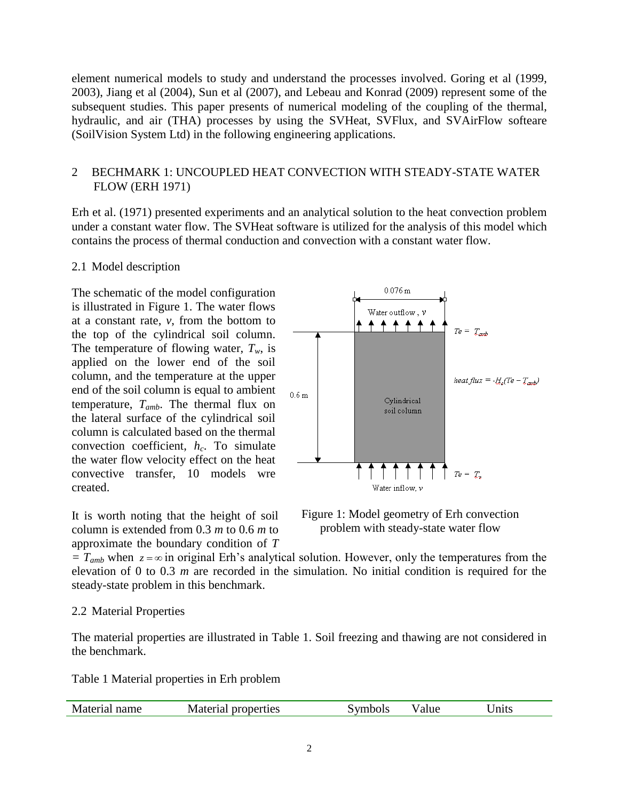element numerical models to study and understand the processes involved. Goring et al (1999, 2003), Jiang et al (2004), Sun et al (2007), and Lebeau and Konrad (2009) represent some of the subsequent studies. This paper presents of numerical modeling of the coupling of the thermal, hydraulic, and air (THA) processes by using the SVHeat, SVFlux, and SVAirFlow softeare (SoilVision System Ltd) in the following engineering applications.

# 2 BECHMARK 1: UNCOUPLED HEAT CONVECTION WITH STEADY-STATE WATER FLOW (ERH 1971)

Erh et al. (1971) presented experiments and an analytical solution to the heat convection problem under a constant water flow. The SVHeat software is utilized for the analysis of this model which contains the process of thermal conduction and convection with a constant water flow.

# 2.1 Model description

The schematic of the model configuration is illustrated in [Figure 1.](#page-1-0) The water flows at a constant rate,  $v$ , from the bottom to the top of the cylindrical soil column. The temperature of flowing water,  $T_w$ , is applied on the lower end of the soil column, and the temperature at the upper end of the soil column is equal to ambient temperature, *Tamb*. The thermal flux on the lateral surface of the cylindrical soil column is calculated based on the thermal convection coefficient, *hc*. To simulate the water flow velocity effect on the heat convective transfer, 10 models wre created.

It is worth noting that the height of soil column is extended from 0.3 *m* to 0.6 *m* to approximate the boundary condition of *T* 



<span id="page-1-0"></span>Figure 1: Model geometry of Erh convection problem with steady-state water flow

 $T_{amb}$  when  $z = \infty$  in original Erh's analytical solution. However, only the temperatures from the elevation of 0 to 0.3 *m* are recorded in the simulation. No initial condition is required for the steady-state problem in this benchmark.

# 2.2 Material Properties

The material properties are illustrated in [Table 1.](#page-1-1) Soil freezing and thawing are not considered in the benchmark.

<span id="page-1-1"></span>Table 1 Material properties in Erh problem

| Material name | <b>Material properties</b> | ivmbols | alue | Jnits |
|---------------|----------------------------|---------|------|-------|
|               |                            |         |      |       |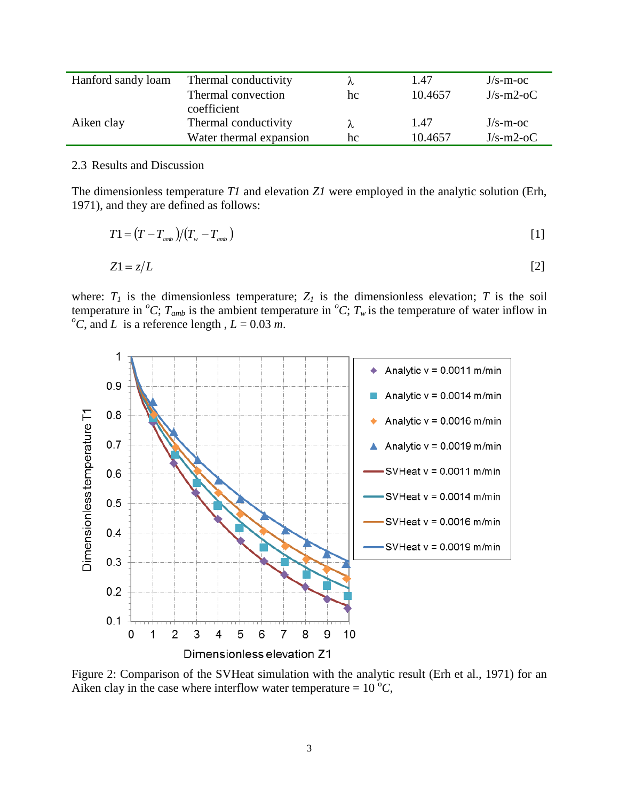| Hanford sandy loam | Thermal conductivity<br>Thermal convection | hc | 1.47<br>10.4657 | $J/s$ -m-oc<br>$J/s-m2-oC$ |
|--------------------|--------------------------------------------|----|-----------------|----------------------------|
|                    | coefficient                                |    |                 |                            |
| Aiken clay         | Thermal conductivity                       | ⋏  | 1.47            | $J/s$ -m-oc                |
|                    | Water thermal expansion                    | hc | 10.4657         | $J/s-m2-oC$                |

#### 2.3 Results and Discussion

The dimensionless temperature *T1* and elevation *Z1* were employed in the analytic solution (Erh, 1971), and they are defined as follows:

$$
T1 = (T - Tamb)/(Tw - Tamb)
$$
\n
$$
\tag{1}
$$

$$
Z1 = z/L \tag{2}
$$

where:  $T_I$  is the dimensionless temperature;  $Z_I$  is the dimensionless elevation;  $T$  is the soil temperature in <sup>*o*</sup>C;  $T_{amb}$  is the ambient temperature in <sup>*o*</sup>C;  $T_w$  is the temperature of water inflow in  $^{0}C$ , and *L* is a reference length,  $L = 0.03$  *m*.



<span id="page-2-0"></span>Figure 2: Comparison of the SVHeat simulation with the analytic result (Erh et al., 1971) for an Aiken clay in the case where interflow water temperature =  $10^{\circ}C$ ,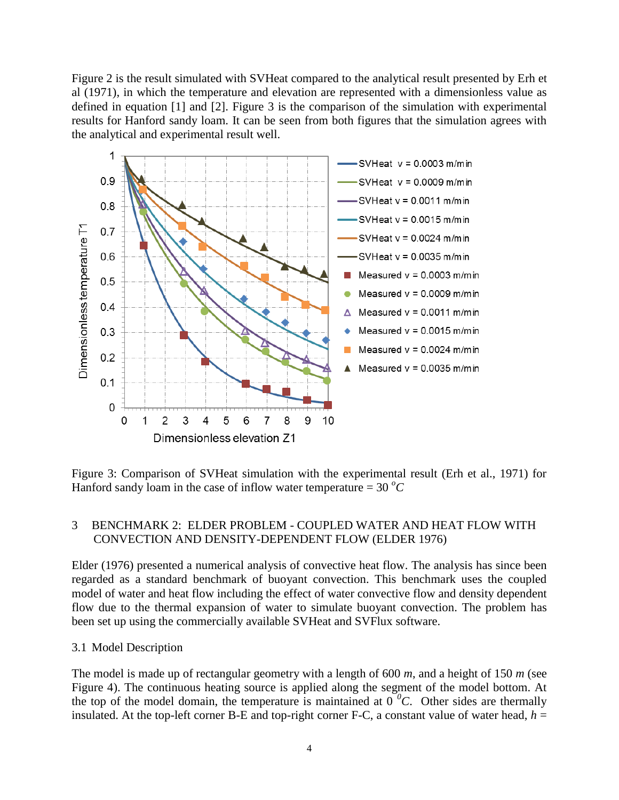[Figure 2](#page-2-0) is the result simulated with SVHeat compared to the analytical result presented by Erh et al (1971), in which the temperature and elevation are represented with a dimensionless value as defined in equation [1] and [2]. [Figure 3](#page-3-0) is the comparison of the simulation with experimental results for Hanford sandy loam. It can be seen from both figures that the simulation agrees with the analytical and experimental result well.



<span id="page-3-0"></span>Figure 3: Comparison of SVHeat simulation with the experimental result (Erh et al., 1971) for Hanford sandy loam in the case of inflow water temperature  $=$  30  $^{\circ}$ C

# 3 BENCHMARK 2: ELDER PROBLEM - COUPLED WATER AND HEAT FLOW WITH CONVECTION AND DENSITY-DEPENDENT FLOW (ELDER 1976)

Elder (1976) presented a numerical analysis of convective heat flow. The analysis has since been regarded as a standard benchmark of buoyant convection. This benchmark uses the coupled model of water and heat flow including the effect of water convective flow and density dependent flow due to the thermal expansion of water to simulate buoyant convection. The problem has been set up using the commercially available SVHeat and SVFlux software.

# 3.1 Model Description

The model is made up of rectangular geometry with a length of 600 *m*, and a height of 150 *m* (see [Figure 4\)](#page-4-0). The continuous heating source is applied along the segment of the model bottom. At the top of the model domain, the temperature is maintained at  $0<sup>0</sup>C$ . Other sides are thermally insulated. At the top-left corner B-E and top-right corner F-C, a constant value of water head,  $h =$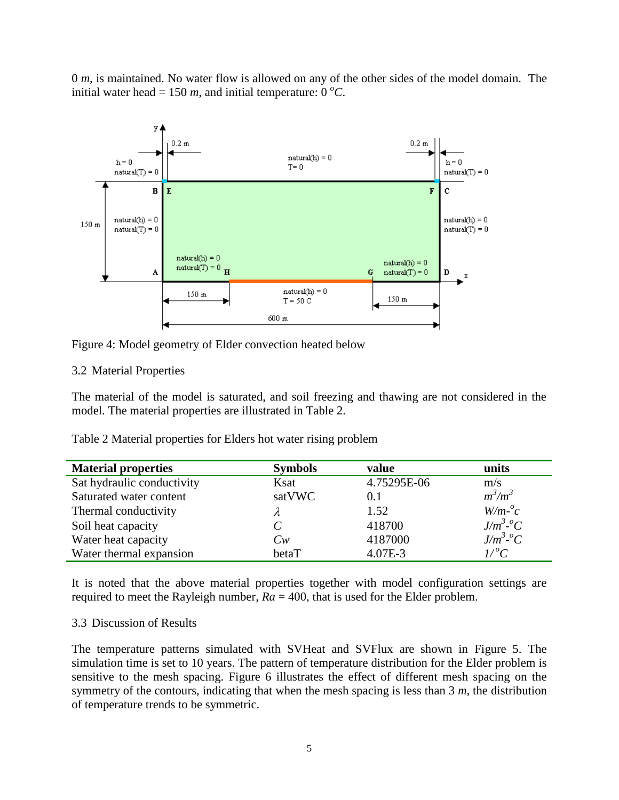0 *m*, is maintained. No water flow is allowed on any of the other sides of the model domain. The initial water head = 150  $m$ , and initial temperature: 0  $^{\circ}C$ .



<span id="page-4-0"></span>Figure 4: Model geometry of Elder convection heated below

# 3.2 Material Properties

The material of the model is saturated, and soil freezing and thawing are not considered in the model. The material properties are illustrated in [Table 2.](#page-4-1)

<span id="page-4-1"></span>Table 2 Material properties for Elders hot water rising problem

| <b>Material properties</b> | <b>Symbols</b> | value       | units                    |
|----------------------------|----------------|-------------|--------------------------|
| Sat hydraulic conductivity | Ksat           | 4.75295E-06 | m/s                      |
| Saturated water content    | satVWC         | 0.1         | $m^3/m^3$                |
| Thermal conductivity       | λ              | 1.52        | $W/m-c$                  |
| Soil heat capacity         | C              | 418700      | $J/m^3$ <sup>-o</sup> C  |
| Water heat capacity        | $C_{W}$        | 4187000     | $J/m^3$ <sup>o</sup> $C$ |
| Water thermal expansion    | betaT          | $4.07E-3$   | $L^{o}C$                 |

It is noted that the above material properties together with model configuration settings are required to meet the Rayleigh number,  $Ra = 400$ , that is used for the Elder problem.

# 3.3 Discussion of Results

The temperature patterns simulated with SVHeat and SVFlux are shown in [Figure 5.](#page-5-0) The simulation time is set to 10 years. The pattern of temperature distribution for the Elder problem is sensitive to the mesh spacing. [Figure 6](#page-5-1) illustrates the effect of different mesh spacing on the symmetry of the contours, indicating that when the mesh spacing is less than 3 *m*, the distribution of temperature trends to be symmetric.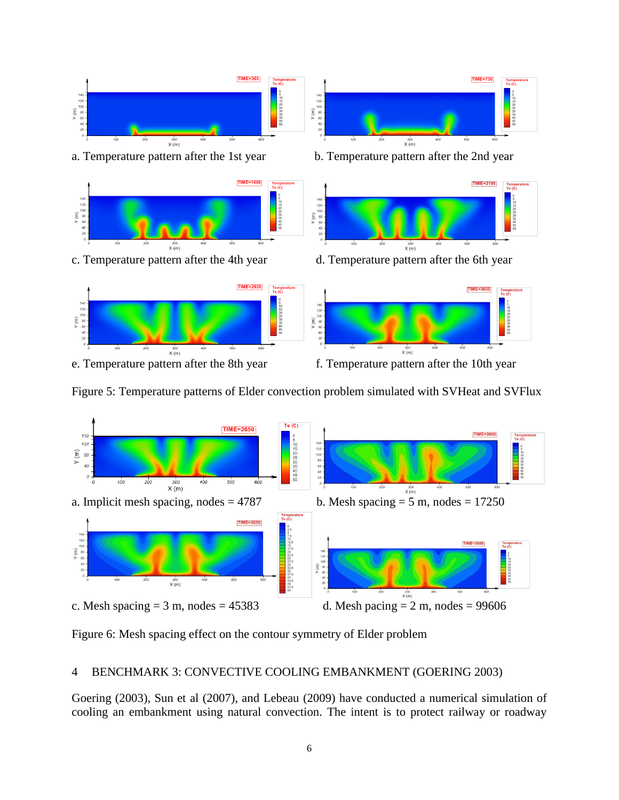

<span id="page-5-0"></span>



<span id="page-5-1"></span>Figure 6: Mesh spacing effect on the contour symmetry of Elder problem

# 4 BENCHMARK 3: CONVECTIVE COOLING EMBANKMENT (GOERING 2003)

Goering (2003), Sun et al (2007), and Lebeau (2009) have conducted a numerical simulation of cooling an embankment using natural convection. The intent is to protect railway or roadway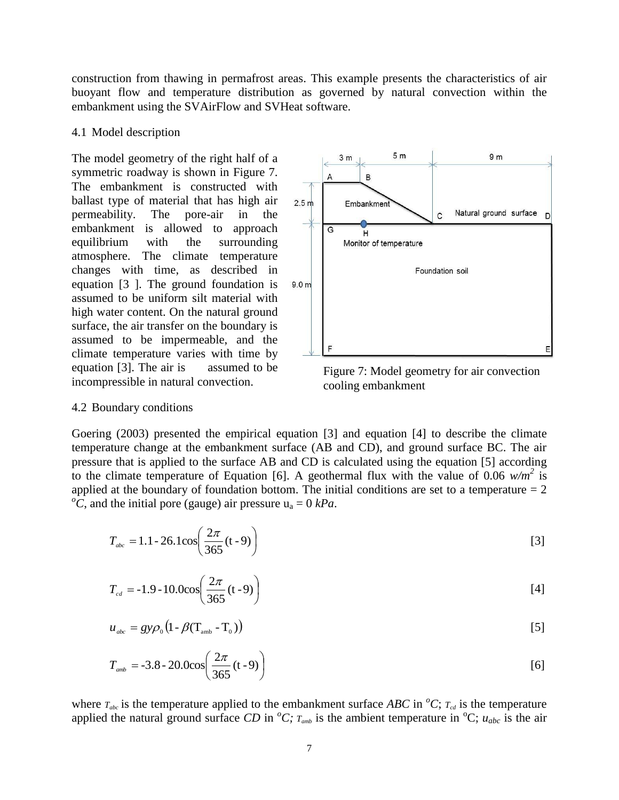construction from thawing in permafrost areas. This example presents the characteristics of air buoyant flow and temperature distribution as governed by natural convection within the embankment using the SVAirFlow and SVHeat software.

### 4.1 Model description

The model geometry of the right half of a symmetric roadway is shown in [Figure 7.](#page-6-0) The embankment is constructed with ballast type of material that has high air permeability. The pore-air in the embankment is allowed to approach equilibrium with the surrounding atmosphere. The climate temperature changes with time, as described in equation [\[3](#page-6-1) ]. The ground foundation is assumed to be uniform silt material with high water content. On the natural ground surface, the air transfer on the boundary is assumed to be impermeable, and the climate temperature varies with time by equation [3]. The air is assumed to be incompressible in natural convection.



<span id="page-6-1"></span><span id="page-6-0"></span>Figure 7: Model geometry for air convection cooling embankment

### 4.2 Boundary conditions

Goering (2003) presented the empirical equation [\[3\]](#page-6-1) and equation [4] to describe the climate temperature change at the embankment surface (AB and CD), and ground surface BC. The air pressure that is applied to the surface AB and CD is calculated using the equation [5] according to the climate temperature of Equation [6]. A geothermal flux with the value of 0.06  $w/m^2$  is applied at the boundary of foundation bottom. The initial conditions are set to a temperature  $= 2$  $^{o}C$ , and the initial pore (gauge) air pressure  $u_a = 0$  *kPa*.

$$
T_{abc} = 1.1 - 26.1 \cos \left( \frac{2\pi}{365} (t - 9) \right)
$$
 [3]

$$
T_{cd} = -1.9 - 10.0 \cos \left( \frac{2\pi}{365} (t - 9) \right)
$$
 [4]

$$
u_{\scriptscriptstyle abc} = g y \rho_0 \left( 1 - \beta (T_{\scriptscriptstyle amb} - T_0) \right) \tag{5}
$$

$$
T_{\text{amb}} = -3.8 - 20.0 \cos \left( \frac{2\pi}{365} \left( t - 9 \right) \right) \tag{6}
$$

where  $T_{abc}$  is the temperature applied to the embankment surface *ABC* in <sup>*o*</sup>*C*;  $T_{cd}$  is the temperature applied the natural ground surface *CD* in  $^{\circ}C$ ;  $T_{amb}$  is the ambient temperature in  $^{\circ}C$ ;  $u_{abc}$  is the air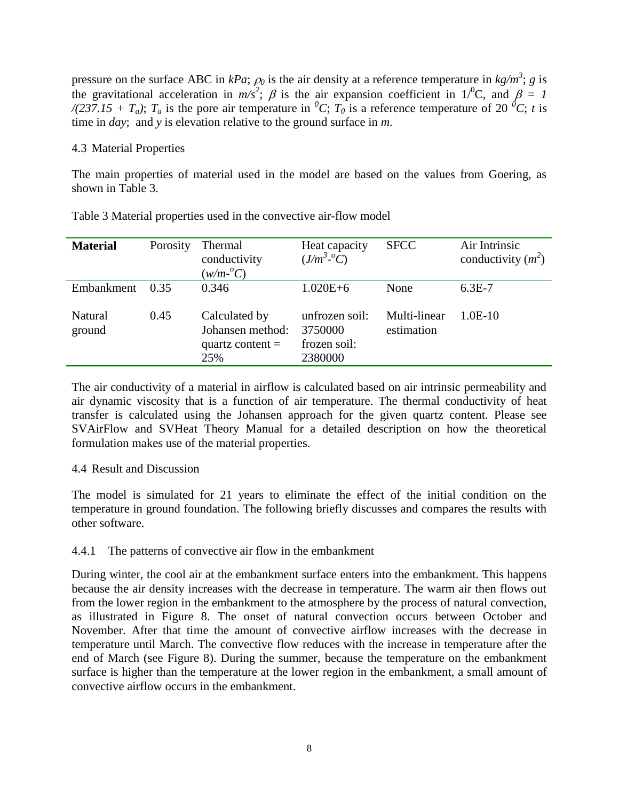pressure on the surface ABC in  $kPa$ ;  $\rho_0$  is the air density at a reference temperature in  $kg/m^3$ ; g is the gravitational acceleration in  $m/s^2$ ;  $\beta$  is the air expansion coefficient in 1<sup> $\beta$ </sup>C, and  $\beta = 1$ */(237.15 + T<sub>a</sub>)*;  $T_a$  is the pore air temperature in <sup>*0*</sup>*C*;  $T_0$  is a reference temperature of 20 <sup>*0*</sup>*C*; *t* is time in *day*; and *y* is elevation relative to the ground surface in *m*.

### 4.3 Material Properties

The main properties of material used in the model are based on the values from Goering, as shown in [Table 3.](#page-7-0)

| <b>Material</b>   | Porosity | Thermal<br>conductivity<br>$(w/m$ <sup>o</sup> C)              | Heat capacity<br>$(J/m^3$ <sup>o</sup> $\overline{C})$ | <b>SFCC</b>                | Air Intrinsic<br>conductivity $(m^2)$ |
|-------------------|----------|----------------------------------------------------------------|--------------------------------------------------------|----------------------------|---------------------------------------|
| Embankment        | 0.35     | 0.346                                                          | $1.020E + 6$                                           | None                       | $6.3E-7$                              |
| Natural<br>ground | 0.45     | Calculated by<br>Johansen method:<br>quartz content $=$<br>25% | unfrozen soil:<br>3750000<br>frozen soil:<br>2380000   | Multi-linear<br>estimation | $1.0E-10$                             |

<span id="page-7-0"></span>Table 3 Material properties used in the convective air-flow model

The air conductivity of a material in airflow is calculated based on air intrinsic permeability and air dynamic viscosity that is a function of air temperature. The thermal conductivity of heat transfer is calculated using the Johansen approach for the given quartz content. Please see SVAirFlow and SVHeat Theory Manual for a detailed description on how the theoretical formulation makes use of the material properties.

# 4.4 Result and Discussion

The model is simulated for 21 years to eliminate the effect of the initial condition on the temperature in ground foundation. The following briefly discusses and compares the results with other software.

# 4.4.1 The patterns of convective air flow in the embankment

During winter, the cool air at the embankment surface enters into the embankment. This happens because the air density increases with the decrease in temperature. The warm air then flows out from the lower region in the embankment to the atmosphere by the process of natural convection, as illustrated in [Figure 8.](#page-8-0) The onset of natural convection occurs between October and November. After that time the amount of convective airflow increases with the decrease in temperature until March. The convective flow reduces with the increase in temperature after the end of March (see [Figure 8\)](#page-8-0). During the summer, because the temperature on the embankment surface is higher than the temperature at the lower region in the embankment, a small amount of convective airflow occurs in the embankment.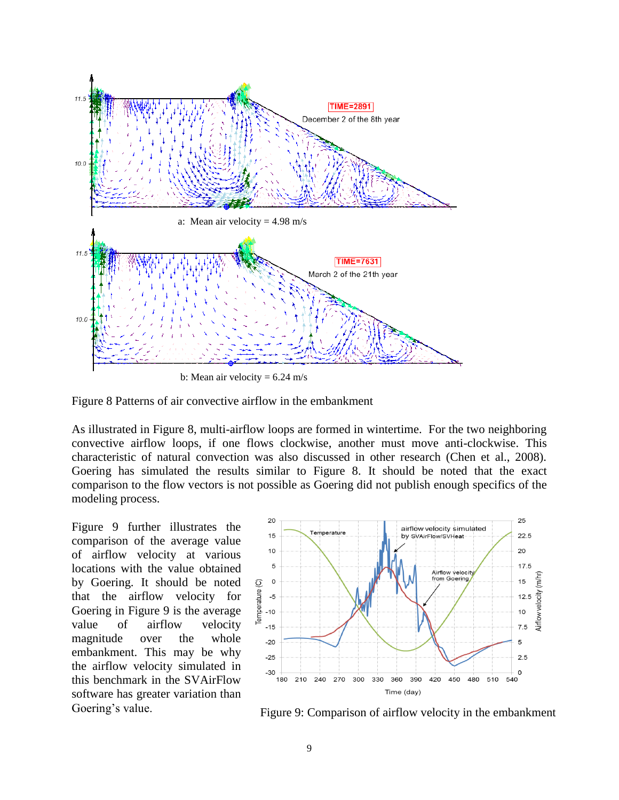

b: Mean air velocity  $= 6.24$  m/s

<span id="page-8-0"></span>

As illustrated in [Figure 8,](#page-8-0) multi-airflow loops are formed in wintertime. For the two neighboring convective airflow loops, if one flows clockwise, another must move anti-clockwise. This characteristic of natural convection was also discussed in other research (Chen et al., 2008). Goering has simulated the results similar to [Figure 8.](#page-8-0) It should be noted that the exact comparison to the flow vectors is not possible as Goering did not publish enough specifics of the modeling process.

[Figure 9](#page-8-1) further illustrates the comparison of the average value of airflow velocity at various locations with the value obtained by Goering. It should be noted that the airflow velocity for Goering in [Figure 9](#page-8-1) is the average value of airflow velocity magnitude over the whole embankment. This may be why the airflow velocity simulated in this benchmark in the SVAirFlow software has greater variation than



<span id="page-8-1"></span>Goering's value. Figure 9: Comparison of airflow velocity in the embankment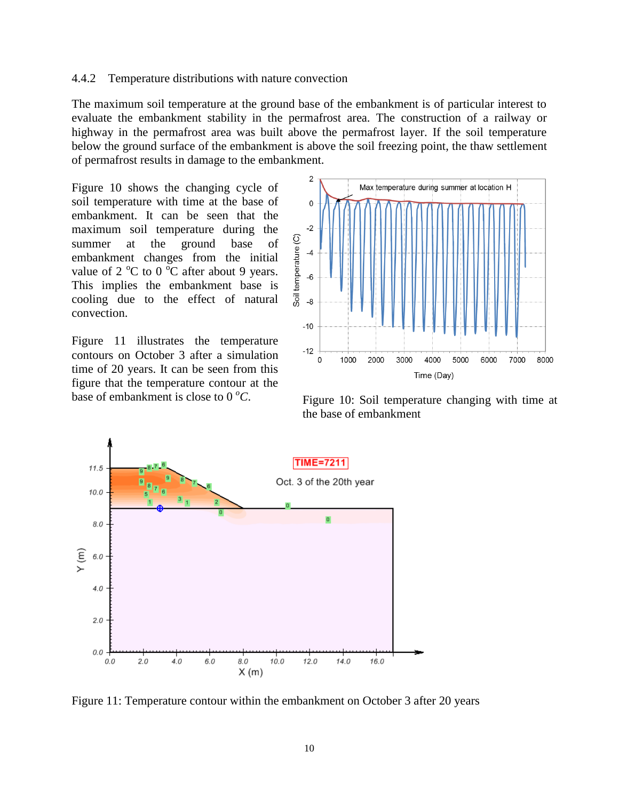#### 4.4.2 Temperature distributions with nature convection

The maximum soil temperature at the ground base of the embankment is of particular interest to evaluate the embankment stability in the permafrost area. The construction of a railway or highway in the permafrost area was built above the permafrost layer. If the soil temperature below the ground surface of the embankment is above the soil freezing point, the thaw settlement of permafrost results in damage to the embankment.

[Figure 10](#page-9-0) shows the changing cycle of soil temperature with time at the base of embankment. It can be seen that the maximum soil temperature during the summer at the ground base of embankment changes from the initial value of  $2 \degree C$  to  $0 \degree C$  after about 9 years. This implies the embankment base is cooling due to the effect of natural convection.

[Figure 11](#page-9-1) illustrates the temperature contours on October 3 after a simulation time of 20 years. It can be seen from this figure that the temperature contour at the base of embankment is close to 0 *<sup>o</sup>C*.



<span id="page-9-0"></span>Figure 10: Soil temperature changing with time at the base of embankment



<span id="page-9-1"></span>Figure 11: Temperature contour within the embankment on October 3 after 20 years